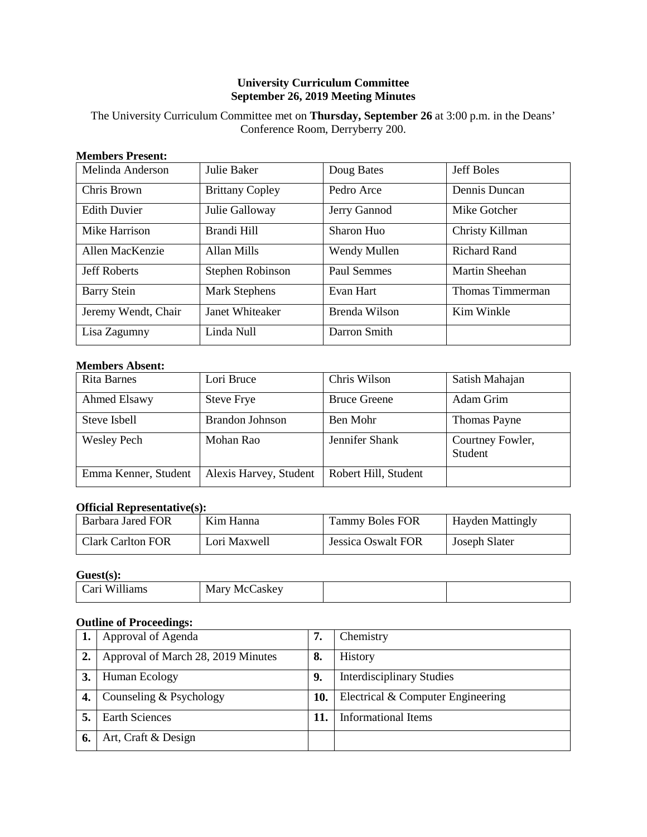## **University Curriculum Committee September 26, 2019 Meeting Minutes**

The University Curriculum Committee met on **Thursday, September 26** at 3:00 p.m. in the Deans' Conference Room, Derryberry 200.

## **Members Present:**

| Melinda Anderson    | Julie Baker            | Doug Bates    | <b>Jeff Boles</b>     |
|---------------------|------------------------|---------------|-----------------------|
| Chris Brown         | <b>Brittany Copley</b> | Pedro Arce    | Dennis Duncan         |
| <b>Edith Duvier</b> | Julie Galloway         | Jerry Gannod  | Mike Gotcher          |
| Mike Harrison       | Brandi Hill            | Sharon Huo    | Christy Killman       |
| Allen MacKenzie     | Allan Mills            | Wendy Mullen  | <b>Richard Rand</b>   |
| <b>Jeff Roberts</b> | Stephen Robinson       | Paul Semmes   | <b>Martin Sheehan</b> |
| <b>Barry Stein</b>  | <b>Mark Stephens</b>   | Evan Hart     | Thomas Timmerman      |
| Jeremy Wendt, Chair | Janet Whiteaker        | Brenda Wilson | Kim Winkle            |
| Lisa Zagumny        | Linda Null             | Darron Smith  |                       |

## **Members Absent:**

| <b>Rita Barnes</b>   | Lori Bruce             | Chris Wilson         | Satish Mahajan              |
|----------------------|------------------------|----------------------|-----------------------------|
| Ahmed Elsawy         | <b>Steve Frye</b>      | <b>Bruce Greene</b>  | Adam Grim                   |
| Steve Isbell         | <b>Brandon Johnson</b> | Ben Mohr             | Thomas Payne                |
| <b>Wesley Pech</b>   | Mohan Rao              | Jennifer Shank       | Courtney Fowler,<br>Student |
| Emma Kenner, Student | Alexis Harvey, Student | Robert Hill, Student |                             |

## **Official Representative(s):**

| Barbara Jared FOR | Kim Hanna    | <b>Tammy Boles FOR</b> | <b>Hayden Mattingly</b> |
|-------------------|--------------|------------------------|-------------------------|
| Clark Carlton FOR | Lori Maxwell | Jessica Oswalt FOR     | Joseph Slater           |

## **Guest(s):**

# **Outline of Proceedings:**

|    | Approval of Agenda                 | 7.  | Chemistry                         |
|----|------------------------------------|-----|-----------------------------------|
| 2. | Approval of March 28, 2019 Minutes | 8.  | History                           |
|    | Human Ecology                      | 9.  | <b>Interdisciplinary Studies</b>  |
|    | Counseling & Psychology            | 10. | Electrical & Computer Engineering |
|    | <b>Earth Sciences</b>              |     | <b>Informational Items</b>        |
|    | Art, Craft & Design                |     |                                   |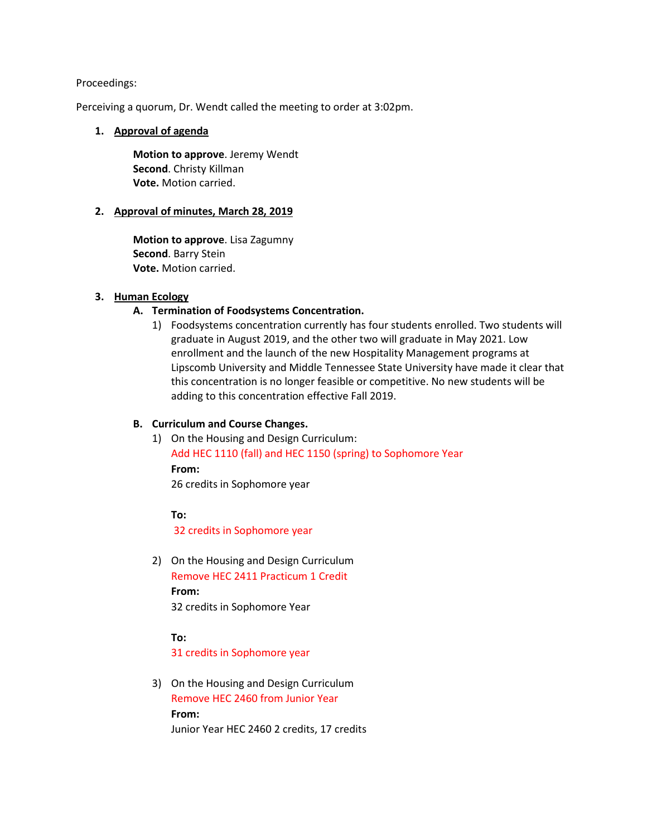## Proceedings:

Perceiving a quorum, Dr. Wendt called the meeting to order at 3:02pm.

## **1. Approval of agenda**

**Motion to approve**. Jeremy Wendt **Second**. Christy Killman **Vote.** Motion carried.

## **2. Approval of minutes, March 28, 2019**

**Motion to approve**. Lisa Zagumny **Second**. Barry Stein **Vote.** Motion carried.

## **3. Human Ecology**

## **A. Termination of Foodsystems Concentration.**

1) Foodsystems concentration currently has four students enrolled. Two students will graduate in August 2019, and the other two will graduate in May 2021. Low enrollment and the launch of the new Hospitality Management programs at Lipscomb University and Middle Tennessee State University have made it clear that this concentration is no longer feasible or competitive. No new students will be adding to this concentration effective Fall 2019.

## **B. Curriculum and Course Changes.**

1) On the Housing and Design Curriculum: Add HEC 1110 (fall) and HEC 1150 (spring) to Sophomore Year **From:**  26 credits in Sophomore year

## **To:**

32 credits in Sophomore year

2) On the Housing and Design Curriculum Remove HEC 2411 Practicum 1 Credit **From:**  32 credits in Sophomore Year

**To:** 

31 credits in Sophomore year

3) On the Housing and Design Curriculum Remove HEC 2460 from Junior Year **From:**  Junior Year HEC 2460 2 credits, 17 credits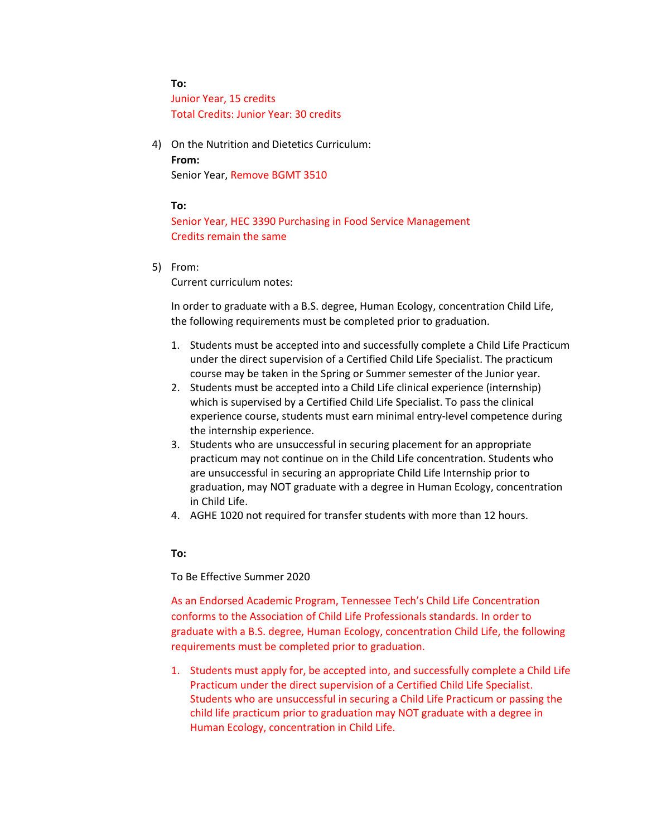**To:**  Junior Year, 15 credits Total Credits: Junior Year: 30 credits

4) On the Nutrition and Dietetics Curriculum: **From:**  Senior Year, Remove BGMT 3510

### **To:**

Senior Year, HEC 3390 Purchasing in Food Service Management Credits remain the same

5) From:

Current curriculum notes:

In order to graduate with a B.S. degree, Human Ecology, concentration Child Life, the following requirements must be completed prior to graduation.

- 1. Students must be accepted into and successfully complete a Child Life Practicum under the direct supervision of a Certified Child Life Specialist. The practicum course may be taken in the Spring or Summer semester of the Junior year.
- 2. Students must be accepted into a Child Life clinical experience (internship) which is supervised by a Certified Child Life Specialist. To pass the clinical experience course, students must earn minimal entry-level competence during the internship experience.
- 3. Students who are unsuccessful in securing placement for an appropriate practicum may not continue on in the Child Life concentration. Students who are unsuccessful in securing an appropriate Child Life Internship prior to graduation, may NOT graduate with a degree in Human Ecology, concentration in Child Life.
- 4. AGHE 1020 not required for transfer students with more than 12 hours.

#### **To:**

#### To Be Effective Summer 2020

As an Endorsed Academic Program, Tennessee Tech's Child Life Concentration conforms to the Association of Child Life Professionals standards. In order to graduate with a B.S. degree, Human Ecology, concentration Child Life, the following requirements must be completed prior to graduation.

1. Students must apply for, be accepted into, and successfully complete a Child Life Practicum under the direct supervision of a Certified Child Life Specialist. Students who are unsuccessful in securing a Child Life Practicum or passing the child life practicum prior to graduation may NOT graduate with a degree in Human Ecology, concentration in Child Life.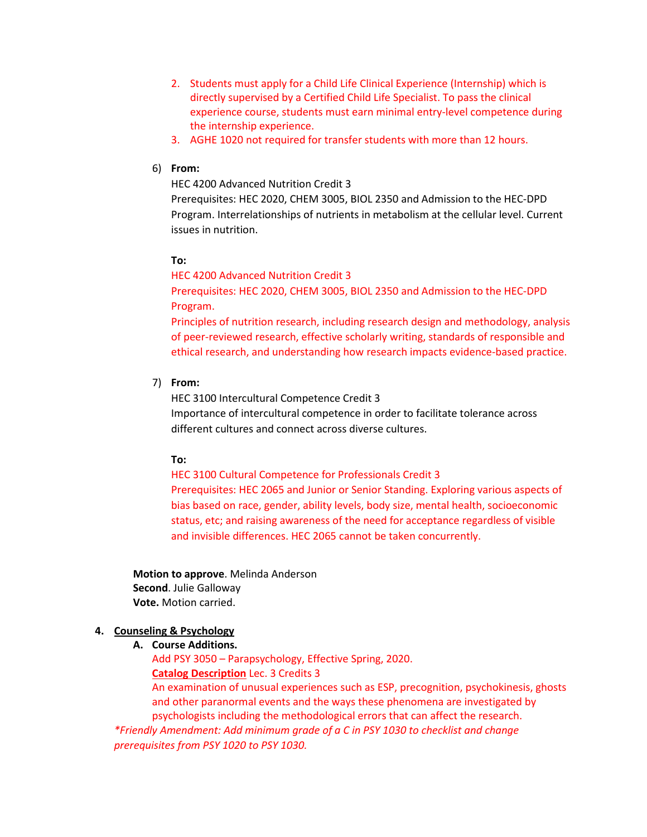- 2. Students must apply for a Child Life Clinical Experience (Internship) which is directly supervised by a Certified Child Life Specialist. To pass the clinical experience course, students must earn minimal entry-level competence during the internship experience.
- 3. AGHE 1020 not required for transfer students with more than 12 hours.

# 6) **From:**

HEC 4200 Advanced Nutrition Credit 3

Prerequisites: HEC 2020, CHEM 3005, BIOL 2350 and Admission to the HEC-DPD Program. Interrelationships of nutrients in metabolism at the cellular level. Current issues in nutrition.

## **To:**

HEC 4200 Advanced Nutrition Credit 3

Prerequisites: HEC 2020, CHEM 3005, BIOL 2350 and Admission to the HEC-DPD Program.

Principles of nutrition research, including research design and methodology, analysis of peer-reviewed research, effective scholarly writing, standards of responsible and ethical research, and understanding how research impacts evidence-based practice.

## 7) **From:**

HEC 3100 Intercultural Competence Credit 3 Importance of intercultural competence in order to facilitate tolerance across different cultures and connect across diverse cultures.

## **To:**

HEC 3100 Cultural Competence for Professionals Credit 3 Prerequisites: HEC 2065 and Junior or Senior Standing. Exploring various aspects of bias based on race, gender, ability levels, body size, mental health, socioeconomic status, etc; and raising awareness of the need for acceptance regardless of visible and invisible differences. HEC 2065 cannot be taken concurrently.

**Motion to approve**. Melinda Anderson **Second**. Julie Galloway **Vote.** Motion carried.

## **4. Counseling & Psychology**

**A. Course Additions.**

Add PSY 3050 – Parapsychology, Effective Spring, 2020. **Catalog Description** Lec. 3 Credits 3

An examination of unusual experiences such as ESP, precognition, psychokinesis, ghosts and other paranormal events and the ways these phenomena are investigated by psychologists including the methodological errors that can affect the research.

*\*Friendly Amendment: Add minimum grade of a C in PSY 1030 to checklist and change prerequisites from PSY 1020 to PSY 1030.*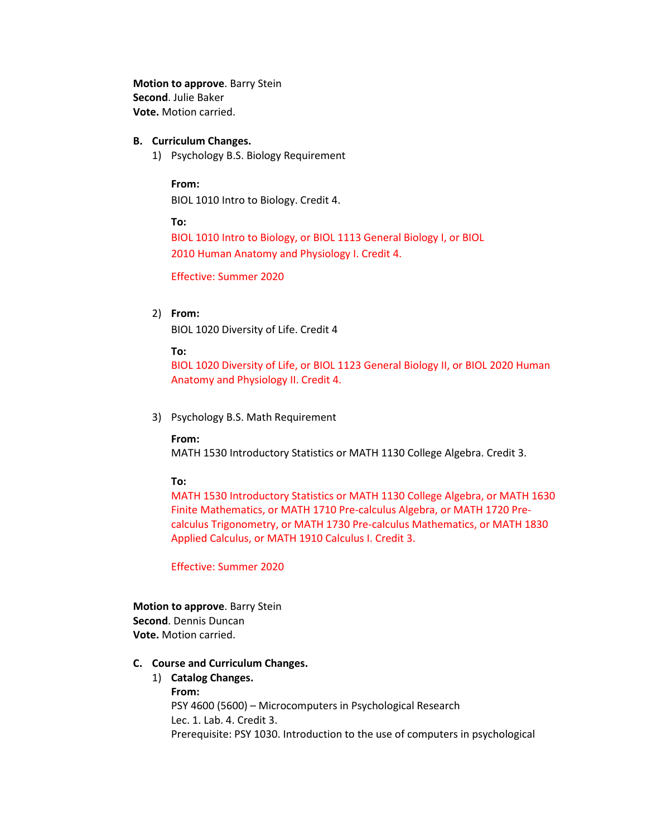**Motion to approve**. Barry Stein **Second**. Julie Baker **Vote.** Motion carried.

### **B. Curriculum Changes.**

1) Psychology B.S. Biology Requirement

#### **From:**

BIOL 1010 Intro to Biology. Credit 4.

**To:** 

BIOL 1010 Intro to Biology, or BIOL 1113 General Biology I, or BIOL 2010 Human Anatomy and Physiology I. Credit 4.

Effective: Summer 2020

## 2) **From:**

BIOL 1020 Diversity of Life. Credit 4

#### **To:**

BIOL 1020 Diversity of Life, or BIOL 1123 General Biology II, or BIOL 2020 Human Anatomy and Physiology II. Credit 4.

3) Psychology B.S. Math Requirement

#### **From:**

MATH 1530 Introductory Statistics or MATH 1130 College Algebra. Credit 3.

### **To:**

MATH 1530 Introductory Statistics or MATH 1130 College Algebra, or MATH 1630 Finite Mathematics, or MATH 1710 Pre-calculus Algebra, or MATH 1720 Precalculus Trigonometry, or MATH 1730 Pre-calculus Mathematics, or MATH 1830 Applied Calculus, or MATH 1910 Calculus I. Credit 3.

Effective: Summer 2020

**Motion to approve**. Barry Stein **Second**. Dennis Duncan **Vote.** Motion carried.

## **C. Course and Curriculum Changes.**

# 1) **Catalog Changes. From:**  PSY 4600 (5600) – Microcomputers in Psychological Research Lec. 1. Lab. 4. Credit 3. Prerequisite: PSY 1030. Introduction to the use of computers in psychological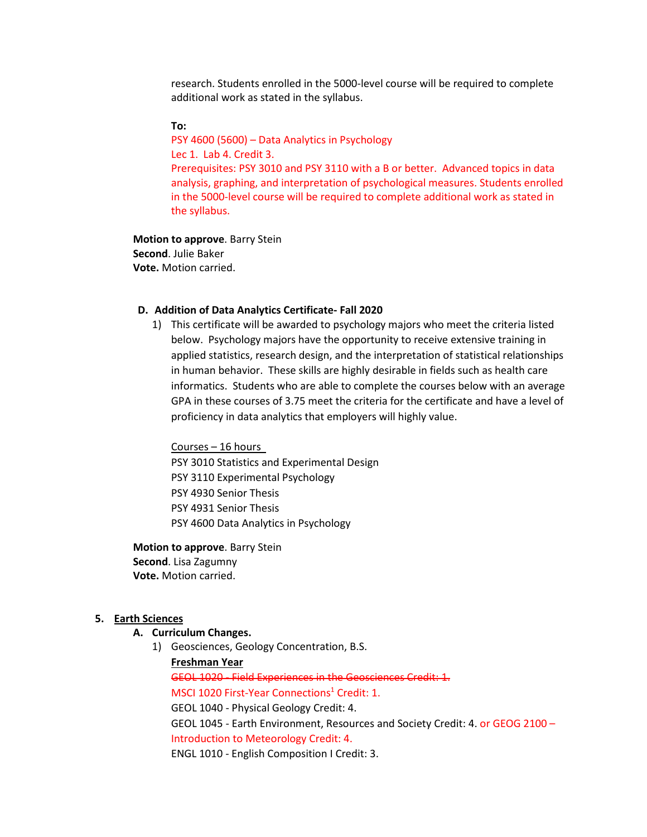research. Students enrolled in the 5000-level course will be required to complete additional work as stated in the syllabus.

#### **To:**

PSY 4600 (5600) – Data Analytics in Psychology Lec 1. Lab 4. Credit 3. Prerequisites: PSY 3010 and PSY 3110 with a B or better. Advanced topics in data analysis, graphing, and interpretation of psychological measures. Students enrolled in the 5000-level course will be required to complete additional work as stated in the syllabus.

**Motion to approve**. Barry Stein **Second**. Julie Baker **Vote.** Motion carried.

### **D. Addition of Data Analytics Certificate- Fall 2020**

1) This certificate will be awarded to psychology majors who meet the criteria listed below. Psychology majors have the opportunity to receive extensive training in applied statistics, research design, and the interpretation of statistical relationships in human behavior. These skills are highly desirable in fields such as health care informatics. Students who are able to complete the courses below with an average GPA in these courses of 3.75 meet the criteria for the certificate and have a level of proficiency in data analytics that employers will highly value.

Courses – 16 hours PSY 3010 Statistics and Experimental Design PSY 3110 Experimental Psychology PSY 4930 Senior Thesis PSY 4931 Senior Thesis PSY 4600 Data Analytics in Psychology

**Motion to approve**. Barry Stein **Second**. Lisa Zagumny **Vote.** Motion carried.

#### **5. Earth Sciences**

## **A. Curriculum Changes.**

1) Geosciences, Geology Concentration, B.S.

**Freshman Year** GEOL 1020 - Field Experiences in the Geosciences Credit: 1. MSCI 1020 First-Year Connections<sup>1</sup> Credit: 1. GEOL 1040 - Physical Geology Credit: 4. GEOL 1045 - Earth Environment, Resources and Society Credit: 4. or GEOG 2100 – Introduction to Meteorology Credit: 4. ENGL 1010 - English Composition I Credit: 3.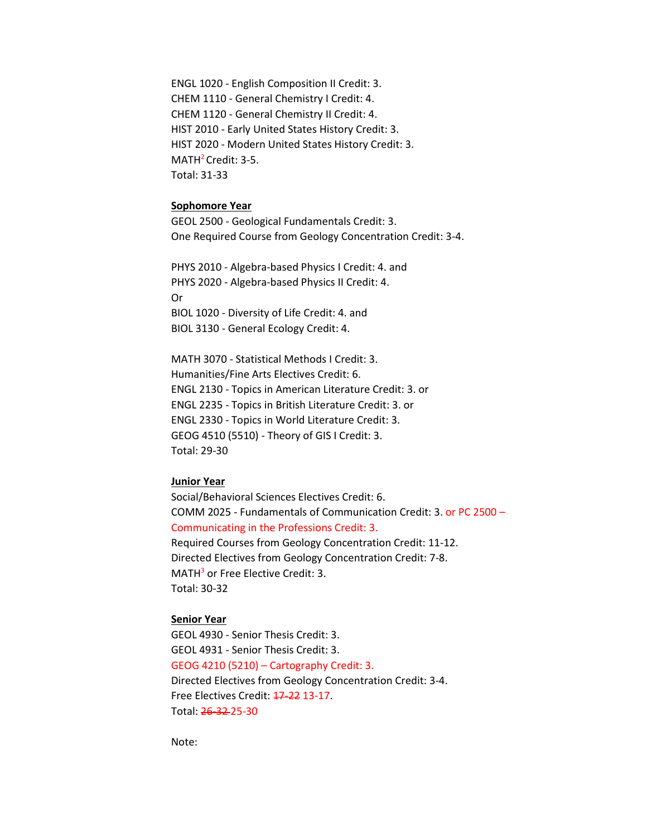ENGL 1020 - English Composition II Credit: 3. CHEM 1110 - General Chemistry I Credit: 4. CHEM 1120 - General Chemistry II Credit: 4. HIST 2010 - Early United States History Credit: 3. HIST 2020 - Modern United States History Credit: 3. MATH<sup>2</sup> Credit: 3-5. Total: 31-33

#### **Sophomore Year**

GEOL 2500 - Geological Fundamentals Credit: 3. One Required Course from Geology Concentration Credit: 3-4.

PHYS 2010 - Algebra-based Physics I Credit: 4. and PHYS 2020 - Algebra-based Physics II Credit: 4. Or BIOL 1020 - Diversity of Life Credit: 4. and BIOL 3130 - General Ecology Credit: 4.

MATH 3070 - Statistical Methods I Credit: 3. Humanities/Fine Arts Electives Credit: 6. ENGL 2130 - Topics in American Literature Credit: 3. or ENGL 2235 - Topics in British Literature Credit: 3. or ENGL 2330 - Topics in World Literature Credit: 3. GEOG 4510 (5510) - Theory of GIS I Credit: 3. Total: 29-30

## **Junior Year**

Social/Behavioral Sciences Electives Credit: 6. COMM 2025 - Fundamentals of Communication Credit: 3. or PC 2500 – Communicating in the Professions Credit: 3. Required Courses from Geology Concentration Credit: 11-12. Directed Electives from Geology Concentration Credit: 7-8. MATH<sup>3</sup> or Free Elective Credit: 3.

Total: 30-32

#### **Senior Year**

GEOL 4930 - Senior Thesis Credit: 3. GEOL 4931 - Senior Thesis Credit: 3. GEOG 4210 (5210) – Cartography Credit: 3. Directed Electives from Geology Concentration Credit: 3-4. Free Electives Credit: 17-22 13-17. Total: 26-32 25-30

Note: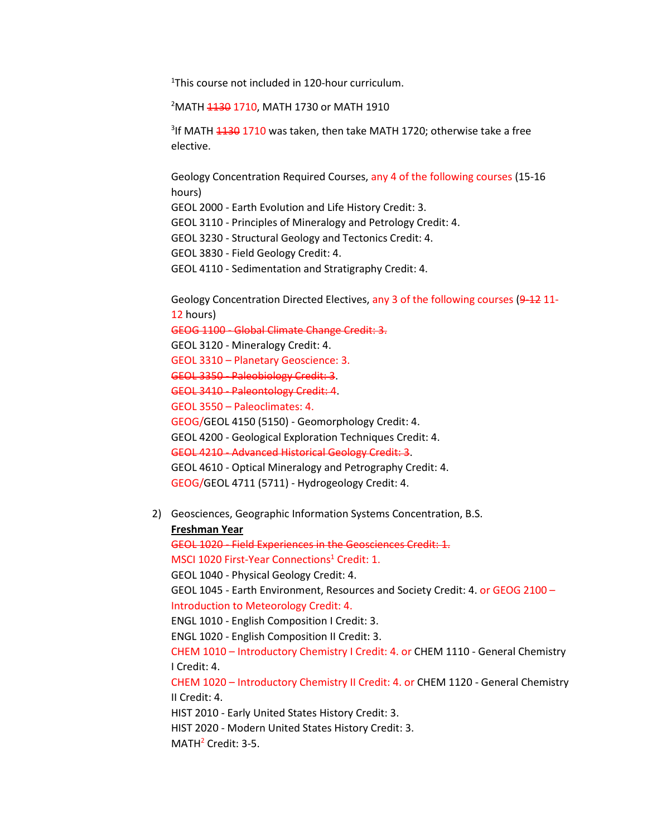<sup>1</sup>This course not included in 120-hour curriculum.

<sup>2</sup>MATH <del>1130</del> 1710, MATH 1730 or MATH 1910

<sup>3</sup>If MATH <del>1130</del> 1710 was taken, then take MATH 1720; otherwise take a free elective.

Geology Concentration Required Courses, any 4 of the following courses (15-16 hours)

GEOL 2000 - Earth Evolution and Life History Credit: 3.

GEOL 3110 - Principles of Mineralogy and Petrology Credit: 4.

GEOL 3230 - Structural Geology and Tectonics Credit: 4.

GEOL 3830 - Field Geology Credit: 4.

GEOL 4110 - Sedimentation and Stratigraphy Credit: 4.

Geology Concentration Directed Electives, any 3 of the following courses (9-12 11-12 hours)

GEOG 1100 - Global Climate Change Credit: 3.

GEOL 3120 - Mineralogy Credit: 4.

GEOL 3310 – Planetary Geoscience: 3.

GEOL 3350 - Paleobiology Credit: 3.

GEOL 3410 - Paleontology Credit: 4.

GEOL 3550 – Paleoclimates: 4.

GEOG/GEOL 4150 (5150) - Geomorphology Credit: 4.

GEOL 4200 - Geological Exploration Techniques Credit: 4.

GEOL 4210 - Advanced Historical Geology Credit: 3.

GEOL 4610 - Optical Mineralogy and Petrography Credit: 4.

GEOG/GEOL 4711 (5711) - Hydrogeology Credit: 4.

2) Geosciences, Geographic Information Systems Concentration, B.S.

## **Freshman Year**

GEOL 1020 - Field Experiences in the Geosciences Credit: 1.

MSCI 1020 First-Year Connections<sup>1</sup> Credit: 1.

GEOL 1040 - Physical Geology Credit: 4.

GEOL 1045 - Earth Environment, Resources and Society Credit: 4. or GEOG 2100 – Introduction to Meteorology Credit: 4.

ENGL 1010 - English Composition I Credit: 3.

ENGL 1020 - English Composition II Credit: 3.

CHEM 1010 – Introductory Chemistry I Credit: 4. or CHEM 1110 - General Chemistry I Credit: 4.

CHEM 1020 – Introductory Chemistry II Credit: 4. or CHEM 1120 - General Chemistry II Credit: 4.

HIST 2010 - Early United States History Credit: 3.

HIST 2020 - Modern United States History Credit: 3.

MATH<sup>2</sup> Credit: 3-5.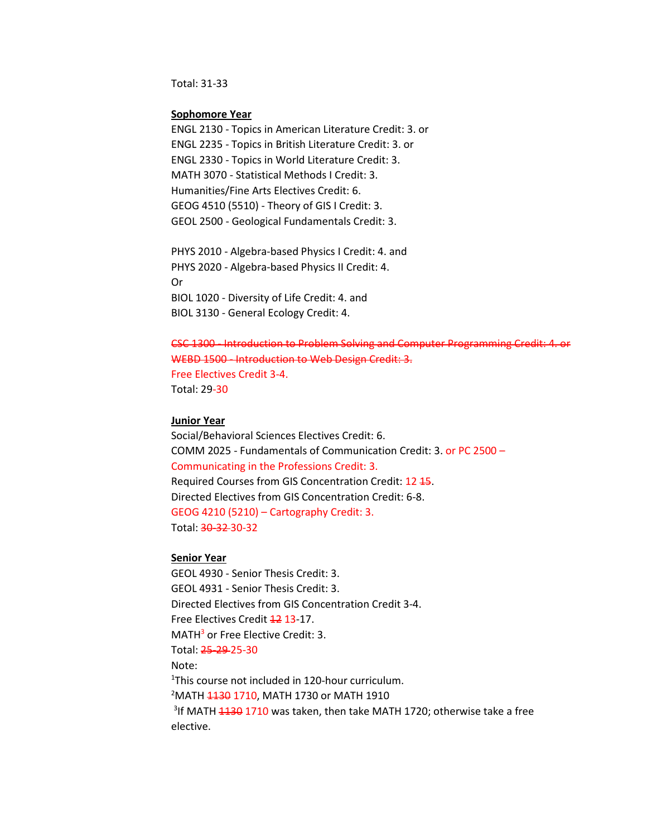Total: 31-33

#### **Sophomore Year**

ENGL 2130 - Topics in American Literature Credit: 3. or ENGL 2235 - Topics in British Literature Credit: 3. or ENGL 2330 - Topics in World Literature Credit: 3. MATH 3070 - Statistical Methods I Credit: 3. Humanities/Fine Arts Electives Credit: 6. GEOG 4510 (5510) - Theory of GIS I Credit: 3. GEOL 2500 - Geological Fundamentals Credit: 3.

PHYS 2010 - Algebra-based Physics I Credit: 4. and PHYS 2020 - Algebra-based Physics II Credit: 4. Or BIOL 1020 - Diversity of Life Credit: 4. and BIOL 3130 - General Ecology Credit: 4.

CSC 1300 - Introduction to Problem Solving and Computer Programming Credit: 4. or WEBD 1500 - Introduction to Web Design Credit: 3. Free Electives Credit 3-4. Total: 29-30

#### **Junior Year**

Social/Behavioral Sciences Electives Credit: 6. COMM 2025 - Fundamentals of Communication Credit: 3. or PC 2500 – Communicating in the Professions Credit: 3. Required Courses from GIS Concentration Credit: 12 15. Directed Electives from GIS Concentration Credit: 6-8. GEOG 4210 (5210) – Cartography Credit: 3. Total: 30-32 30-32

### **Senior Year**

GEOL 4930 - Senior Thesis Credit: 3. GEOL 4931 - Senior Thesis Credit: 3. Directed Electives from GIS Concentration Credit 3-4. Free Electives Credit 42 13-17. MATH<sup>3</sup> or Free Elective Credit: 3. Total: 25-29 25-30 Note: <sup>1</sup>This course not included in 120-hour curriculum.<br><sup>2</sup>MATH 1130 1710, MATH 1730 or MATH 1910 <sup>2</sup>MATH <del>1130</del> 1710, MATH 1730 or MATH 1910 <sup>3</sup>If MATH <del>1130</del> 1710 was taken, then take MATH 1720; otherwise take a free elective.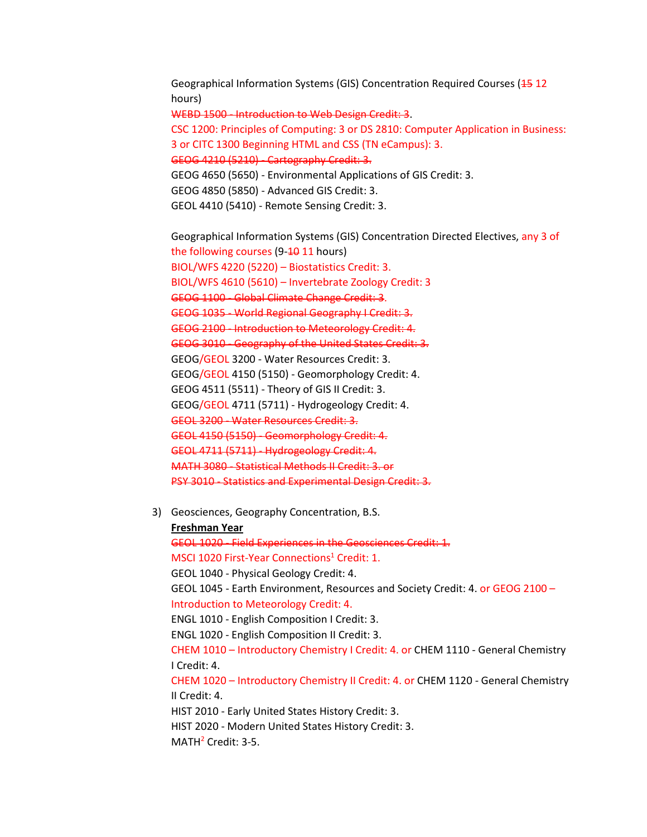Geographical Information Systems (GIS) Concentration Required Courses (15 12 hours)

WEBD 1500 - Introduction to Web Design Credit: 3.

CSC 1200: Principles of Computing: 3 or DS 2810: Computer Application in Business: 3 or CITC 1300 Beginning HTML and CSS (TN eCampus): 3.

GEOG 4210 (5210) - Cartography Credit: 3.

GEOG 4650 (5650) - Environmental Applications of GIS Credit: 3.

GEOG 4850 (5850) - Advanced GIS Credit: 3.

GEOL 4410 (5410) - Remote Sensing Credit: 3.

Geographical Information Systems (GIS) Concentration Directed Electives, any 3 of the following courses (9-40 11 hours) BIOL/WFS 4220 (5220) – Biostatistics Credit: 3. BIOL/WFS 4610 (5610) – Invertebrate Zoology Credit: 3 GEOG 1100 - Global Climate Change Credit: 3. GEOG 1035 - World Regional Geography I Credit: 3. GEOG 2100 - Introduction to Meteorology Credit: 4. GEOG 3010 - Geography of the United States Credit: 3. GEOG/GEOL 3200 - Water Resources Credit: 3. GEOG/GEOL 4150 (5150) - Geomorphology Credit: 4. GEOG 4511 (5511) - Theory of GIS II Credit: 3. GEOG/GEOL 4711 (5711) - Hydrogeology Credit: 4. GEOL 3200 - Water Resources Credit: 3. GEOL 4150 (5150) - Geomorphology Credit: 4. GEOL 4711 (5711) - Hydrogeology Credit: 4. MATH 3080 - Statistical Methods II Credit: 3. or PSY 3010 - Statistics and Experimental Design Credit: 3.

3) Geosciences, Geography Concentration, B.S.

**Freshman Year** GEOL 1020 - Field Experiences in the Geosciences Credit: 1. MSCI 1020 First-Year Connections<sup>1</sup> Credit: 1. GEOL 1040 - Physical Geology Credit: 4. GEOL 1045 - Earth Environment, Resources and Society Credit: 4. or GEOG 2100 – Introduction to Meteorology Credit: 4. ENGL 1010 - English Composition I Credit: 3. ENGL 1020 - English Composition II Credit: 3. CHEM 1010 – Introductory Chemistry I Credit: 4. or CHEM 1110 - General Chemistry I Credit: 4. CHEM 1020 – Introductory Chemistry II Credit: 4. or CHEM 1120 - General Chemistry II Credit: 4. HIST 2010 - Early United States History Credit: 3. HIST 2020 - Modern United States History Credit: 3. MATH<sup>2</sup> Credit: 3-5.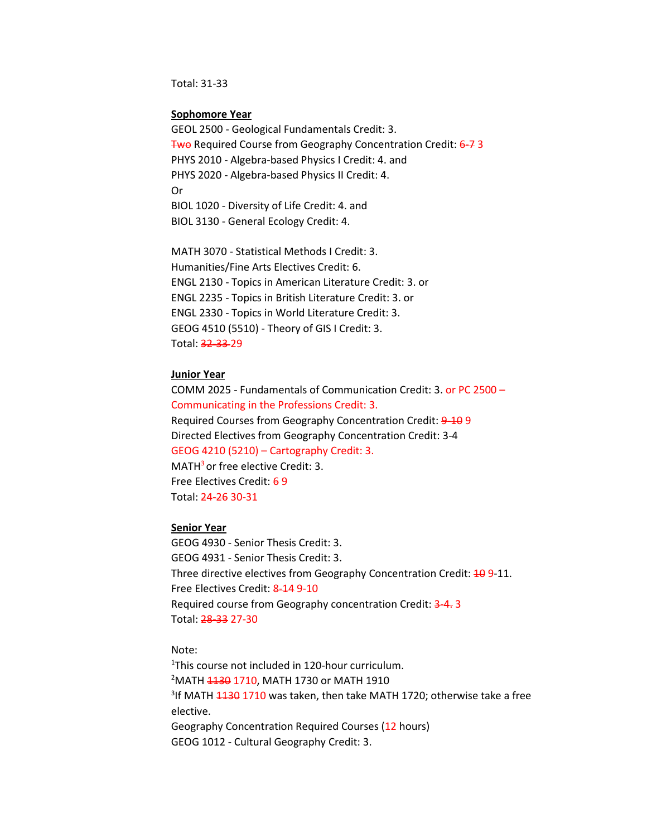Total: 31-33

#### **Sophomore Year**

GEOL 2500 - Geological Fundamentals Credit: 3. Two Required Course from Geography Concentration Credit: 6-7 3 PHYS 2010 - Algebra-based Physics I Credit: 4. and PHYS 2020 - Algebra-based Physics II Credit: 4. Or BIOL 1020 - Diversity of Life Credit: 4. and BIOL 3130 - General Ecology Credit: 4.

MATH 3070 - Statistical Methods I Credit: 3. Humanities/Fine Arts Electives Credit: 6. ENGL 2130 - Topics in American Literature Credit: 3. or ENGL 2235 - Topics in British Literature Credit: 3. or ENGL 2330 - Topics in World Literature Credit: 3. GEOG 4510 (5510) - Theory of GIS I Credit: 3. Total: 32-33 29

## **Junior Year**

COMM 2025 - Fundamentals of Communication Credit: 3. or PC 2500 – Communicating in the Professions Credit: 3. Required Courses from Geography Concentration Credit: 9-10 9 Directed Electives from Geography Concentration Credit: 3-4 GEOG 4210 (5210) – Cartography Credit: 3.  $MATH<sup>3</sup>$  or free elective Credit: 3. Free Electives Credit: 6 9 Total: 24-26 30-31

#### **Senior Year**

GEOG 4930 - Senior Thesis Credit: 3. GEOG 4931 - Senior Thesis Credit: 3. Three directive electives from Geography Concentration Credit:  $\frac{10}{10}$  9-11. Free Electives Credit: 8-14 9-10 Required course from Geography concentration Credit: 3-4. 3 Total: 28-33 27-30

Note:

<sup>1</sup>This course not included in 120-hour curriculum.<br><sup>2</sup>MATH 1120 1710, MATH 1730 or MATH 1910 <sup>2</sup>MATH <del>1130</del> 1710, MATH 1730 or MATH 1910 <sup>3</sup>If MATH <del>1130</del> 1710 was taken, then take MATH 1720; otherwise take a free elective. Geography Concentration Required Courses (12 hours) GEOG 1012 - Cultural Geography Credit: 3.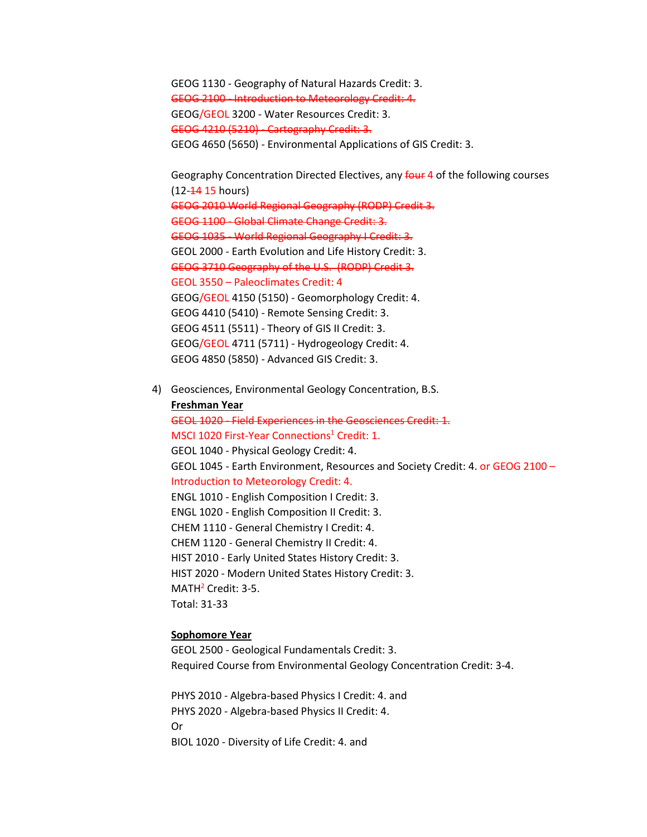GEOG 1130 - Geography of Natural Hazards Credit: 3. GEOG 2100 - Introduction to Meteorology Credit: 4. GEOG/GEOL 3200 - Water Resources Credit: 3. GEOG 4210 (5210) - Cartography Credit: 3. GEOG 4650 (5650) - Environmental Applications of GIS Credit: 3.

Geography Concentration Directed Electives, any four 4 of the following courses (12-14 15 hours) GEOG 2010 World Regional Geography (RODP) Credit 3. GEOG 1100 - Global Climate Change Credit: 3. GEOG 1035 - World Regional Geography I Credit: 3. GEOL 2000 - Earth Evolution and Life History Credit: 3. GEOG 3710 Geography of the U.S. (RODP) Credit 3. GEOL 3550 – Paleoclimates Credit: 4 GEOG/GEOL 4150 (5150) - Geomorphology Credit: 4. GEOG 4410 (5410) - Remote Sensing Credit: 3. GEOG 4511 (5511) - Theory of GIS II Credit: 3. GEOG/GEOL 4711 (5711) - Hydrogeology Credit: 4. GEOG 4850 (5850) - Advanced GIS Credit: 3.

4) Geosciences, Environmental Geology Concentration, B.S. **Freshman Year** GEOL 1020 - Field Experiences in the Geosciences Credit: 1. MSCI 1020 First-Year Connections<sup>1</sup> Credit: 1. GEOL 1040 - Physical Geology Credit: 4. GEOL 1045 - Earth Environment, Resources and Society Credit: 4. or GEOG 2100 – Introduction to Meteorology Credit: 4. ENGL 1010 - English Composition I Credit: 3. ENGL 1020 - English Composition II Credit: 3. CHEM 1110 - General Chemistry I Credit: 4. CHEM 1120 - General Chemistry II Credit: 4. HIST 2010 - Early United States History Credit: 3. HIST 2020 - Modern United States History Credit: 3. MATH<sup>2</sup> Credit: 3-5. Total: 31-33

#### **Sophomore Year**

GEOL 2500 - Geological Fundamentals Credit: 3. Required Course from Environmental Geology Concentration Credit: 3-4.

PHYS 2010 - Algebra-based Physics I Credit: 4. and PHYS 2020 - Algebra-based Physics II Credit: 4. Or BIOL 1020 - Diversity of Life Credit: 4. and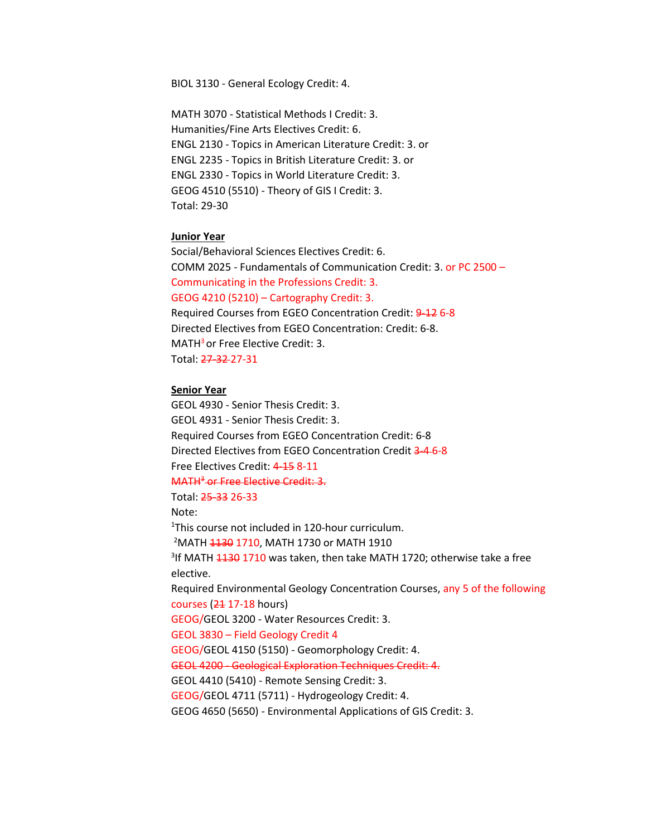BIOL 3130 - General Ecology Credit: 4.

MATH 3070 - Statistical Methods I Credit: 3. Humanities/Fine Arts Electives Credit: 6. ENGL 2130 - Topics in American Literature Credit: 3. or ENGL 2235 - Topics in British Literature Credit: 3. or ENGL 2330 - Topics in World Literature Credit: 3. GEOG 4510 (5510) - Theory of GIS I Credit: 3. Total: 29-30

#### **Junior Year**

Social/Behavioral Sciences Electives Credit: 6. COMM 2025 - Fundamentals of Communication Credit: 3. or PC 2500 – Communicating in the Professions Credit: 3. GEOG 4210 (5210) – Cartography Credit: 3. Required Courses from EGEO Concentration Credit: 9-12 6-8

Directed Electives from EGEO Concentration: Credit: 6-8. MATH<sup>3</sup> or Free Elective Credit: 3. Total: 27-32 27-31

#### **Senior Year**

GEOL 4930 - Senior Thesis Credit: 3. GEOL 4931 - Senior Thesis Credit: 3. Required Courses from EGEO Concentration Credit: 6-8 Directed Electives from EGEO Concentration Credit 3-4 6-8 Free Electives Credit: 4-15 8-11 MATH<sup>3</sup> or Free Elective Credit: 3. Total: 25-33 26-33 Note: 1 This course not included in 120-hour curriculum. <sup>2</sup>MATH <del>1130</del> 1710, MATH 1730 or MATH 1910 <sup>3</sup>If MATH <del>1130</del> 1710 was taken, then take MATH 1720; otherwise take a free elective. Required Environmental Geology Concentration Courses, any 5 of the following courses  $(24 17-18$  hours) GEOG/GEOL 3200 - Water Resources Credit: 3. GEOL 3830 – Field Geology Credit 4 GEOG/GEOL 4150 (5150) - Geomorphology Credit: 4. GEOL 4200 - Geological Exploration Techniques Credit: 4. GEOL 4410 (5410) - Remote Sensing Credit: 3. GEOG/GEOL 4711 (5711) - Hydrogeology Credit: 4. GEOG 4650 (5650) - Environmental Applications of GIS Credit: 3.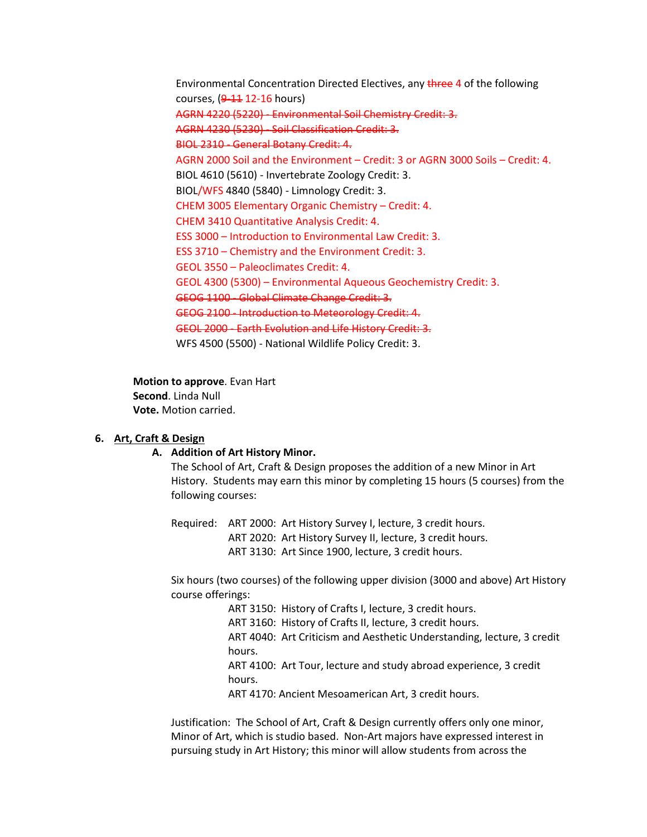Environmental Concentration Directed Electives, any three 4 of the following courses, (9-11 12-16 hours) AGRN 4220 (5220) - Environmental Soil Chemistry Credit: 3. AGRN 4230 (5230) - Soil Classification Credit: 3. BIOL 2310 - General Botany Credit: 4. AGRN 2000 Soil and the Environment – Credit: 3 or AGRN 3000 Soils – Credit: 4. BIOL 4610 (5610) - Invertebrate Zoology Credit: 3. BIOL/WFS 4840 (5840) - Limnology Credit: 3. CHEM 3005 Elementary Organic Chemistry – Credit: 4. CHEM 3410 Quantitative Analysis Credit: 4. ESS 3000 – Introduction to Environmental Law Credit: 3. ESS 3710 – Chemistry and the Environment Credit: 3. GEOL 3550 – Paleoclimates Credit: 4. GEOL 4300 (5300) – Environmental Aqueous Geochemistry Credit: 3. GEOG 1100 - Global Climate Change Credit: 3. GEOG 2100 - Introduction to Meteorology Credit: 4. GEOL 2000 - Earth Evolution and Life History Credit: 3. WFS 4500 (5500) - National Wildlife Policy Credit: 3.

**Motion to approve**. Evan Hart **Second**. Linda Null

**Vote.** Motion carried.

## **6. Art, Craft & Design**

## **A. Addition of Art History Minor.**

The School of Art, Craft & Design proposes the addition of a new Minor in Art History. Students may earn this minor by completing 15 hours (5 courses) from the following courses:

Required: ART 2000: Art History Survey I, lecture, 3 credit hours. ART 2020: Art History Survey II, lecture, 3 credit hours. ART 3130: Art Since 1900, lecture, 3 credit hours.

Six hours (two courses) of the following upper division (3000 and above) Art History course offerings:

> ART 3150: History of Crafts I, lecture, 3 credit hours. ART 3160: History of Crafts II, lecture, 3 credit hours. ART 4040: Art Criticism and Aesthetic Understanding, lecture, 3 credit hours. ART 4100: Art Tour, lecture and study abroad experience, 3 credit hours. ART 4170: Ancient Mesoamerican Art, 3 credit hours.

Justification: The School of Art, Craft & Design currently offers only one minor, Minor of Art, which is studio based. Non-Art majors have expressed interest in pursuing study in Art History; this minor will allow students from across the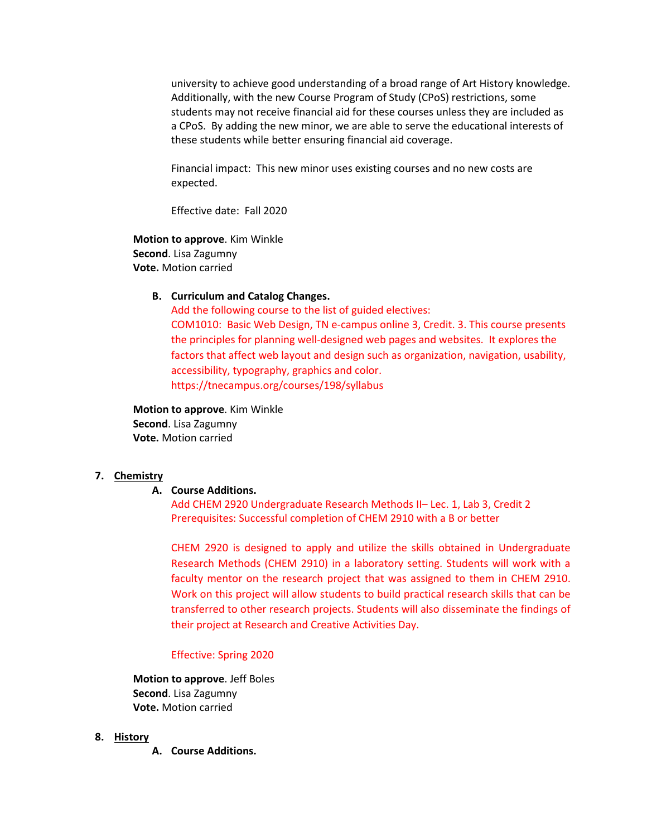university to achieve good understanding of a broad range of Art History knowledge. Additionally, with the new Course Program of Study (CPoS) restrictions, some students may not receive financial aid for these courses unless they are included as a CPoS. By adding the new minor, we are able to serve the educational interests of these students while better ensuring financial aid coverage.

Financial impact: This new minor uses existing courses and no new costs are expected.

Effective date: Fall 2020

**Motion to approve**. Kim Winkle **Second**. Lisa Zagumny **Vote.** Motion carried

## **B. Curriculum and Catalog Changes.**

Add the following course to the list of guided electives: COM1010: Basic Web Design, TN e-campus online 3, Credit. 3. This course presents the principles for planning well-designed web pages and websites. It explores the factors that affect web layout and design such as organization, navigation, usability, accessibility, typography, graphics and color. <https://tnecampus.org/courses/198/syllabus>

**Motion to approve**. Kim Winkle **Second**. Lisa Zagumny **Vote.** Motion carried

## **7. Chemistry**

### **A. Course Additions.**

Add CHEM 2920 Undergraduate Research Methods II– Lec. 1, Lab 3, Credit 2 Prerequisites: Successful completion of CHEM 2910 with a B or better

CHEM 2920 is designed to apply and utilize the skills obtained in Undergraduate Research Methods (CHEM 2910) in a laboratory setting. Students will work with a faculty mentor on the research project that was assigned to them in CHEM 2910. Work on this project will allow students to build practical research skills that can be transferred to other research projects. Students will also disseminate the findings of their project at Research and Creative Activities Day.

#### Effective: Spring 2020

**Motion to approve**. Jeff Boles **Second**. Lisa Zagumny **Vote.** Motion carried

## **8. History**

**A. Course Additions.**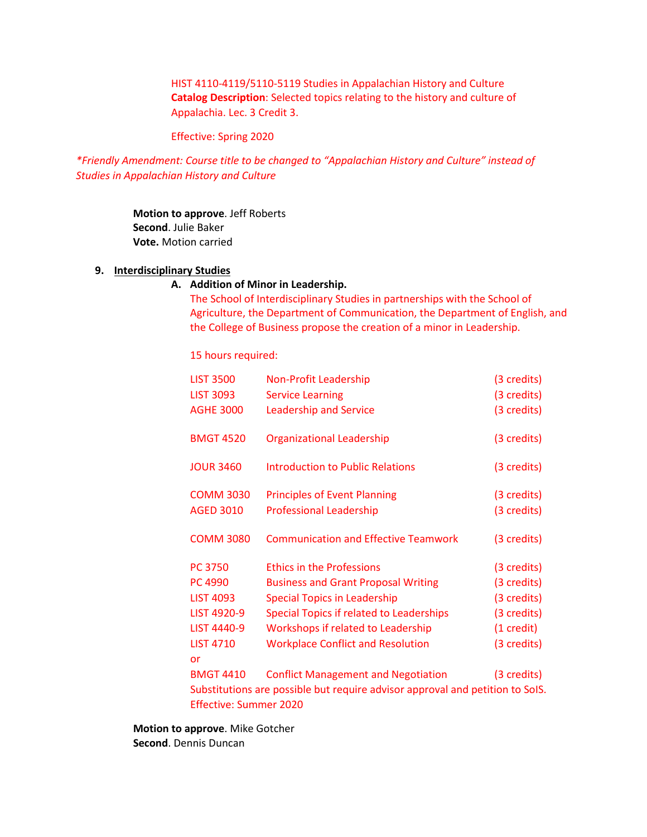HIST 4110-4119/5110-5119 Studies in Appalachian History and Culture **Catalog Description**: Selected topics relating to the history and culture of Appalachia. Lec. 3 Credit 3.

Effective: Spring 2020

*\*Friendly Amendment: Course title to be changed to "Appalachian History and Culture" instead of Studies in Appalachian History and Culture*

> **Motion to approve**. Jeff Roberts **Second**. Julie Baker **Vote.** Motion carried

## **9. Interdisciplinary Studies**

## **A. Addition of Minor in Leadership.**

The School of Interdisciplinary Studies in partnerships with the School of Agriculture, the Department of Communication, the Department of English, and the College of Business propose the creation of a minor in Leadership.

15 hours required:

| <b>LIST 3500</b>              | <b>Non-Profit Leadership</b>                                                  | (3 credits)          |
|-------------------------------|-------------------------------------------------------------------------------|----------------------|
| <b>LIST 3093</b>              | <b>Service Learning</b>                                                       | (3 credits)          |
| <b>AGHE 3000</b>              | <b>Leadership and Service</b>                                                 | (3 credits)          |
| <b>BMGT 4520</b>              | <b>Organizational Leadership</b>                                              | (3 credits)          |
| <b>JOUR 3460</b>              | <b>Introduction to Public Relations</b>                                       | (3 credits)          |
| <b>COMM 3030</b>              | <b>Principles of Event Planning</b>                                           | (3 credits)          |
| <b>AGED 3010</b>              | <b>Professional Leadership</b>                                                | (3 credits)          |
| <b>COMM 3080</b>              | <b>Communication and Effective Teamwork</b>                                   | (3 credits)          |
| <b>PC 3750</b>                | <b>Ethics in the Professions</b>                                              | (3 credits)          |
| <b>PC 4990</b>                | <b>Business and Grant Proposal Writing</b>                                    | (3 credits)          |
| <b>LIST 4093</b>              | <b>Special Topics in Leadership</b>                                           | (3 credits)          |
| LIST 4920-9                   | Special Topics if related to Leaderships                                      | (3 credits)          |
| <b>LIST 4440-9</b>            | Workshops if related to Leadership                                            | $(1 \text{ credit})$ |
| <b>LIST 4710</b>              | <b>Workplace Conflict and Resolution</b>                                      | (3 credits)          |
| or                            |                                                                               |                      |
| <b>BMGT 4410</b>              | <b>Conflict Management and Negotiation</b>                                    | (3 credits)          |
|                               | Substitutions are possible but require advisor approval and petition to SoIS. |                      |
| <b>Effective: Summer 2020</b> |                                                                               |                      |

**Motion to approve**. Mike Gotcher **Second**. Dennis Duncan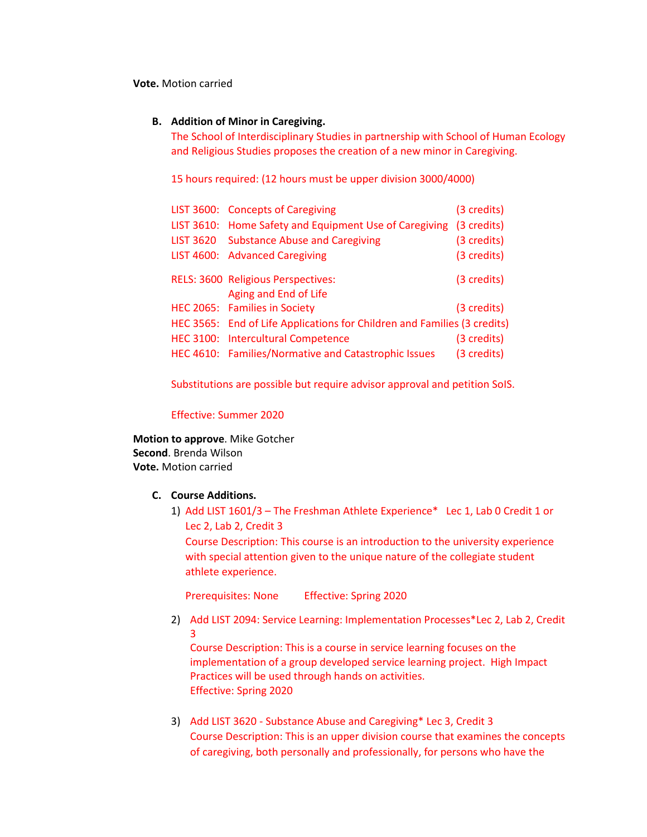**Vote.** Motion carried

## **B. Addition of Minor in Caregiving.**

The School of Interdisciplinary Studies in partnership with School of Human Ecology and Religious Studies proposes the creation of a new minor in Caregiving.

15 hours required: (12 hours must be upper division 3000/4000)

| LIST 3600: Concepts of Caregiving                                        | (3 credits) |
|--------------------------------------------------------------------------|-------------|
| LIST 3610: Home Safety and Equipment Use of Caregiving                   | (3 credits) |
| LIST 3620 Substance Abuse and Caregiving                                 | (3 credits) |
| LIST 4600: Advanced Caregiving                                           | (3 credits) |
| RELS: 3600 Religious Perspectives:<br>Aging and End of Life              | (3 credits) |
| HEC 2065: Families in Society                                            | (3 credits) |
| HEC 3565: End of Life Applications for Children and Families (3 credits) |             |
| HEC 3100: Intercultural Competence                                       | (3 credits) |
| HEC 4610: Families/Normative and Catastrophic Issues                     | (3 credits) |

Substitutions are possible but require advisor approval and petition SoIS.

Effective: Summer 2020

**Motion to approve**. Mike Gotcher **Second**. Brenda Wilson **Vote.** Motion carried

## **C. Course Additions.**

1) Add LIST 1601/3 – The Freshman Athlete Experience\* Lec 1, Lab 0 Credit 1 or Lec 2, Lab 2, Credit 3

Course Description: This course is an introduction to the university experience with special attention given to the unique nature of the collegiate student athlete experience.

Prerequisites: None Effective: Spring 2020

2) Add LIST 2094: Service Learning: Implementation Processes\*Lec 2, Lab 2, Credit 3

Course Description: This is a course in service learning focuses on the implementation of a group developed service learning project. High Impact Practices will be used through hands on activities. Effective: Spring 2020

3) Add LIST 3620 - Substance Abuse and Caregiving\* Lec 3, Credit 3 Course Description: This is an upper division course that examines the concepts of caregiving, both personally and professionally, for persons who have the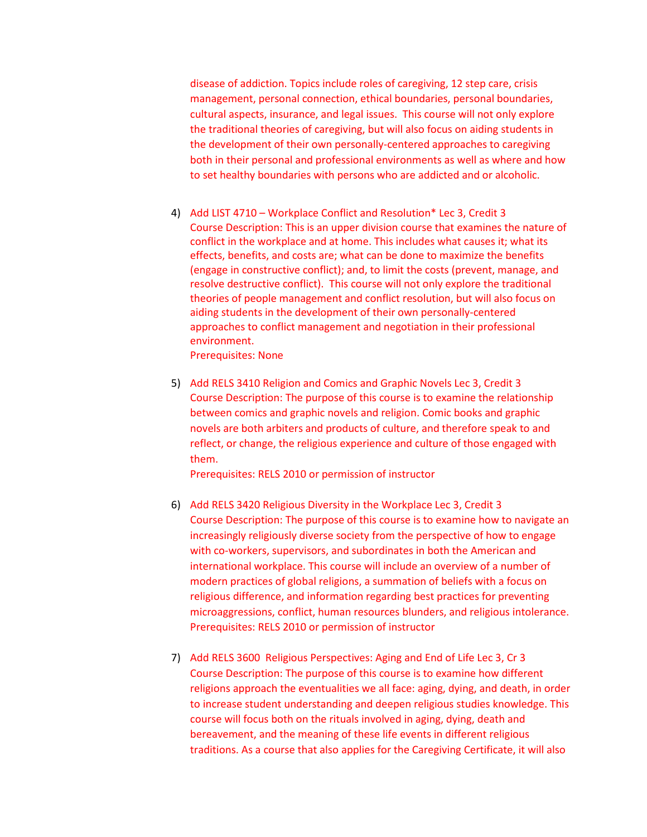disease of addiction. Topics include roles of caregiving, 12 step care, crisis management, personal connection, ethical boundaries, personal boundaries, cultural aspects, insurance, and legal issues. This course will not only explore the traditional theories of caregiving, but will also focus on aiding students in the development of their own personally-centered approaches to caregiving both in their personal and professional environments as well as where and how to set healthy boundaries with persons who are addicted and or alcoholic.

- 4) Add LIST 4710 Workplace Conflict and Resolution\* Lec 3, Credit 3 Course Description: This is an upper division course that examines the nature of conflict in the workplace and at home. This includes what causes it; what its effects, benefits, and costs are; what can be done to maximize the benefits (engage in constructive conflict); and, to limit the costs (prevent, manage, and resolve destructive conflict). This course will not only explore the traditional theories of people management and conflict resolution, but will also focus on aiding students in the development of their own personally-centered approaches to conflict management and negotiation in their professional environment. Prerequisites: None
- 5) Add RELS 3410 Religion and Comics and Graphic Novels Lec 3, Credit 3 Course Description: The purpose of this course is to examine the relationship between comics and graphic novels and religion. Comic books and graphic novels are both arbiters and products of culture, and therefore speak to and reflect, or change, the religious experience and culture of those engaged with them.

Prerequisites: RELS 2010 or permission of instructor

- 6) Add RELS 3420 Religious Diversity in the Workplace Lec 3, Credit 3 Course Description: The purpose of this course is to examine how to navigate an increasingly religiously diverse society from the perspective of how to engage with co-workers, supervisors, and subordinates in both the American and international workplace. This course will include an overview of a number of modern practices of global religions, a summation of beliefs with a focus on religious difference, and information regarding best practices for preventing microaggressions, conflict, human resources blunders, and religious intolerance. Prerequisites: RELS 2010 or permission of instructor
- 7) Add RELS 3600 Religious Perspectives: Aging and End of Life Lec 3, Cr 3 Course Description: The purpose of this course is to examine how different religions approach the eventualities we all face: aging, dying, and death, in order to increase student understanding and deepen religious studies knowledge. This course will focus both on the rituals involved in aging, dying, death and bereavement, and the meaning of these life events in different religious traditions. As a course that also applies for the Caregiving Certificate, it will also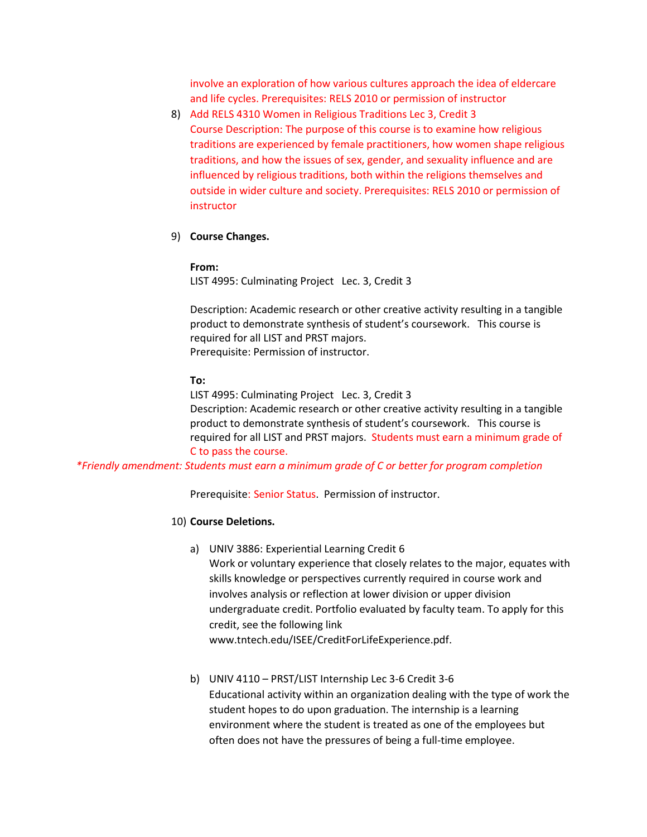involve an exploration of how various cultures approach the idea of eldercare and life cycles. Prerequisites: RELS 2010 or permission of instructor

- 8) Add RELS 4310 Women in Religious Traditions Lec 3, Credit 3 Course Description: The purpose of this course is to examine how religious traditions are experienced by female practitioners, how women shape religious traditions, and how the issues of sex, gender, and sexuality influence and are influenced by religious traditions, both within the religions themselves and outside in wider culture and society. Prerequisites: RELS 2010 or permission of instructor
- 9) **Course Changes.**

#### **From:**

LIST 4995: Culminating Project Lec. 3, Credit 3

Description: Academic research or other creative activity resulting in a tangible product to demonstrate synthesis of student's coursework. This course is required for all LIST and PRST majors. Prerequisite: Permission of instructor.

#### **To:**

LIST 4995: Culminating Project Lec. 3, Credit 3 Description: Academic research or other creative activity resulting in a tangible product to demonstrate synthesis of student's coursework. This course is required for all LIST and PRST majors. Students must earn a minimum grade of C to pass the course.

*\*Friendly amendment: Students must earn a minimum grade of C or better for program completion*

Prerequisite: Senior Status. Permission of instructor.

### 10) **Course Deletions.**

- a) UNIV 3886: Experiential Learning Credit 6 Work or voluntary experience that closely relates to the major, equates with skills knowledge or perspectives currently required in course work and involves analysis or reflection at lower division or upper division undergraduate credit. Portfolio evaluated by faculty team. To apply for this credit, see the following link
	- [www.tntech.edu/ISEE/CreditForLifeExperience.pdf.](http://www.tntech.edu/ISEE/CreditForLifeExperience.pdf)
- b) UNIV 4110 PRST/LIST Internship Lec 3-6 Credit 3-6 Educational activity within an organization dealing with the type of work the student hopes to do upon graduation. The internship is a learning environment where the student is treated as one of the employees but often does not have the pressures of being a full-time employee.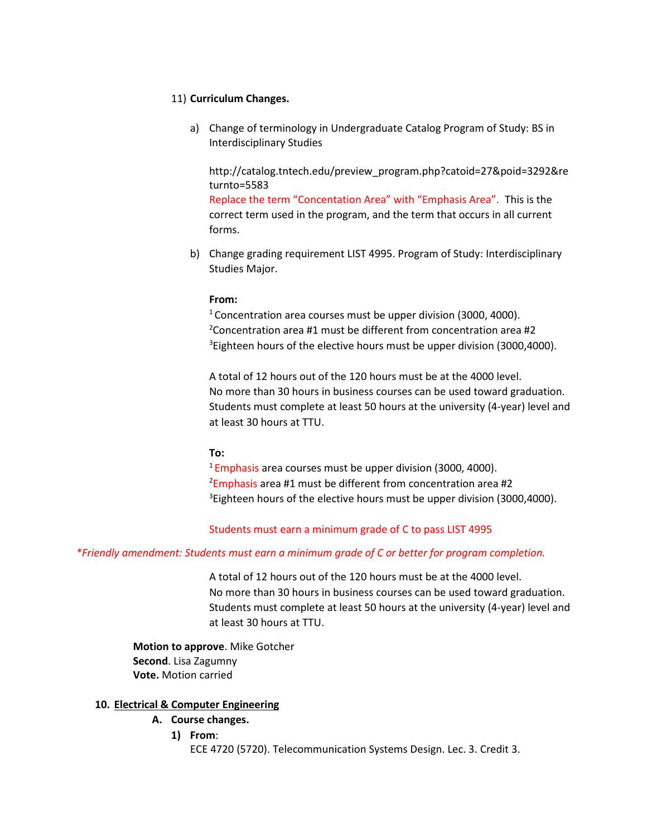## 11) **Curriculum Changes.**

a) Change of terminology in Undergraduate Catalog Program of Study: BS in Interdisciplinary Studies

[http://catalog.tntech.edu/preview\\_program.php?catoid=27&poid=3292&re](http://catalog.tntech.edu/preview_program.php?catoid=27&poid=3292&returnto=5583) [turnto=5583](http://catalog.tntech.edu/preview_program.php?catoid=27&poid=3292&returnto=5583)

Replace the term "Concentation Area" with "Emphasis Area". This is the correct term used in the program, and the term that occurs in all current forms.

b) Change grading requirement LIST 4995. Program of Study: Interdisciplinary Studies Major.

### **From:**

 $1$  Concentration area courses must be upper division (3000, 4000).  $2$ Concentration area #1 must be different from concentration area #2  ${}^{3}$ Eighteen hours of the elective hours must be upper division (3000,4000).

A total of 12 hours out of the 120 hours must be at the 4000 level. No more than 30 hours in business courses can be used toward graduation. Students must complete at least 50 hours at the university (4-year) level and at least 30 hours at TTU.

## **To:**

<sup>1</sup> Emphasis area courses must be upper division (3000, 4000). 2 Emphasis area #1 must be different from concentration area #2 <sup>3</sup>Eighteen hours of the elective hours must be upper division (3000,4000).

## Students must earn a minimum grade of C to pass LIST 4995

## *\*Friendly amendment: Students must earn a minimum grade of C or better for program completion.*

A total of 12 hours out of the 120 hours must be at the 4000 level. No more than 30 hours in business courses can be used toward graduation. Students must complete at least 50 hours at the university (4-year) level and at least 30 hours at TTU.

**Motion to approve**. Mike Gotcher **Second**. Lisa Zagumny **Vote.** Motion carried

### **10. Electrical & Computer Engineering**

## **A. Course changes.**

**1) From**:

ECE 4720 (5720). Telecommunication Systems Design. Lec. 3. Credit 3.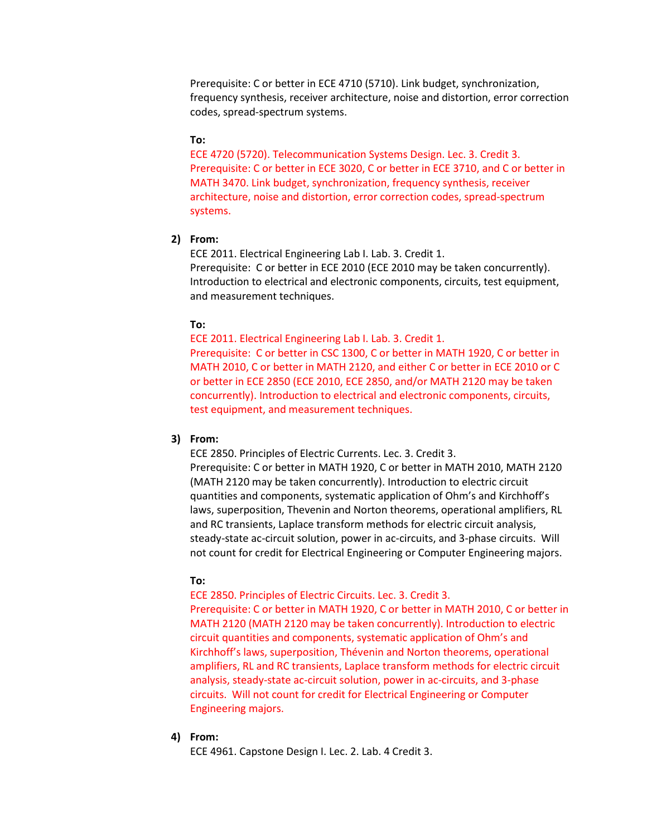Prerequisite: C or better in ECE 4710 (5710). Link budget, synchronization, frequency synthesis, receiver architecture, noise and distortion, error correction codes, spread-spectrum systems.

#### **To:**

ECE 4720 (5720). Telecommunication Systems Design. Lec. 3. Credit 3. Prerequisite: C or better in ECE 3020, C or better in ECE 3710, and C or better in MATH 3470. Link budget, synchronization, frequency synthesis, receiver architecture, noise and distortion, error correction codes, spread-spectrum systems.

### **2) From:**

ECE 2011. Electrical Engineering Lab I. Lab. 3. Credit 1. Prerequisite: C or better in ECE 2010 (ECE 2010 may be taken concurrently). Introduction to electrical and electronic components, circuits, test equipment, and measurement techniques.

### **To:**

ECE 2011. Electrical Engineering Lab I. Lab. 3. Credit 1. Prerequisite: C or better in CSC 1300, C or better in MATH 1920, C or better in MATH 2010, C or better in MATH 2120, and either C or better in ECE 2010 or C or better in ECE 2850 (ECE 2010, ECE 2850, and/or MATH 2120 may be taken concurrently). Introduction to electrical and electronic components, circuits, test equipment, and measurement techniques.

### **3) From:**

ECE 2850. Principles of Electric Currents. Lec. 3. Credit 3.

Prerequisite: C or better in MATH 1920, C or better in MATH 2010, MATH 2120 (MATH 2120 may be taken concurrently). Introduction to electric circuit quantities and components, systematic application of Ohm's and Kirchhoff's laws, superposition, Thevenin and Norton theorems, operational amplifiers, RL and RC transients, Laplace transform methods for electric circuit analysis, steady-state ac-circuit solution, power in ac-circuits, and 3-phase circuits. Will not count for credit for Electrical Engineering or Computer Engineering majors.

### **To:**

ECE 2850. Principles of Electric Circuits. Lec. 3. Credit 3.

Prerequisite: C or better in MATH 1920, C or better in MATH 2010, C or better in MATH 2120 (MATH 2120 may be taken concurrently). Introduction to electric circuit quantities and components, systematic application of Ohm's and Kirchhoff's laws, superposition, Thévenin and Norton theorems, operational amplifiers, RL and RC transients, Laplace transform methods for electric circuit analysis, steady-state ac-circuit solution, power in ac-circuits, and 3-phase circuits. Will not count for credit for Electrical Engineering or Computer Engineering majors.

#### **4) From:**

ECE 4961. Capstone Design I. Lec. 2. Lab. 4 Credit 3.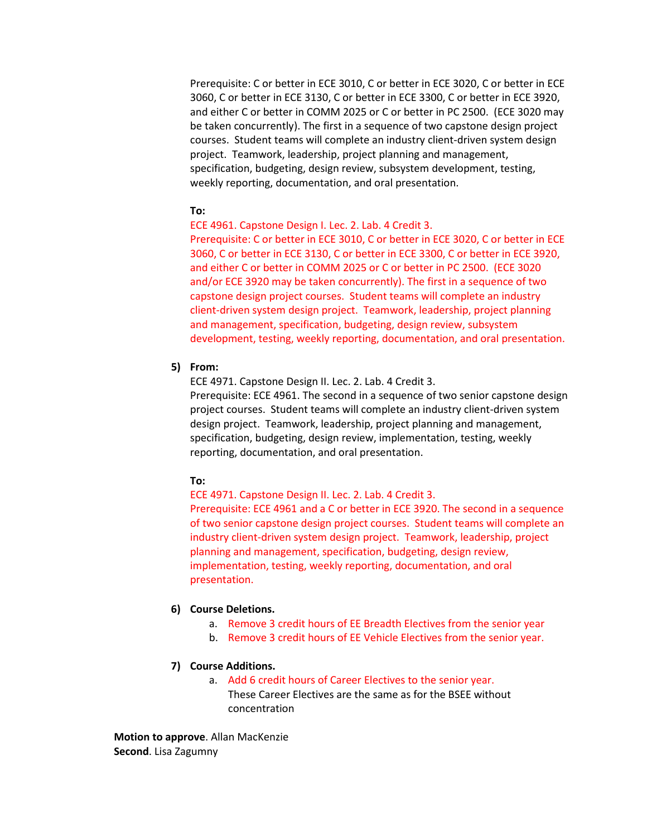Prerequisite: C or better in ECE 3010, C or better in ECE 3020, C or better in ECE 3060, C or better in ECE 3130, C or better in ECE 3300, C or better in ECE 3920, and either C or better in COMM 2025 or C or better in PC 2500. (ECE 3020 may be taken concurrently). The first in a sequence of two capstone design project courses. Student teams will complete an industry client-driven system design project. Teamwork, leadership, project planning and management, specification, budgeting, design review, subsystem development, testing, weekly reporting, documentation, and oral presentation.

### **To:**

ECE 4961. Capstone Design I. Lec. 2. Lab. 4 Credit 3.

Prerequisite: C or better in ECE 3010, C or better in ECE 3020, C or better in ECE 3060, C or better in ECE 3130, C or better in ECE 3300, C or better in ECE 3920, and either C or better in COMM 2025 or C or better in PC 2500. (ECE 3020 and/or ECE 3920 may be taken concurrently). The first in a sequence of two capstone design project courses. Student teams will complete an industry client-driven system design project. Teamwork, leadership, project planning and management, specification, budgeting, design review, subsystem development, testing, weekly reporting, documentation, and oral presentation.

## **5) From:**

ECE 4971. Capstone Design II. Lec. 2. Lab. 4 Credit 3. Prerequisite: ECE 4961. The second in a sequence of two senior capstone design project courses. Student teams will complete an industry client-driven system design project. Teamwork, leadership, project planning and management, specification, budgeting, design review, implementation, testing, weekly reporting, documentation, and oral presentation.

## **To:**

ECE 4971. Capstone Design II. Lec. 2. Lab. 4 Credit 3. Prerequisite: ECE 4961 and a C or better in ECE 3920. The second in a sequence of two senior capstone design project courses. Student teams will complete an industry client-driven system design project. Teamwork, leadership, project planning and management, specification, budgeting, design review, implementation, testing, weekly reporting, documentation, and oral presentation.

### **6) Course Deletions.**

- a. Remove 3 credit hours of EE Breadth Electives from the senior year
- b. Remove 3 credit hours of EE Vehicle Electives from the senior year.

#### **7) Course Additions.**

a. Add 6 credit hours of Career Electives to the senior year. These Career Electives are the same as for the BSEE without concentration

**Motion to approve**. Allan MacKenzie **Second**. Lisa Zagumny